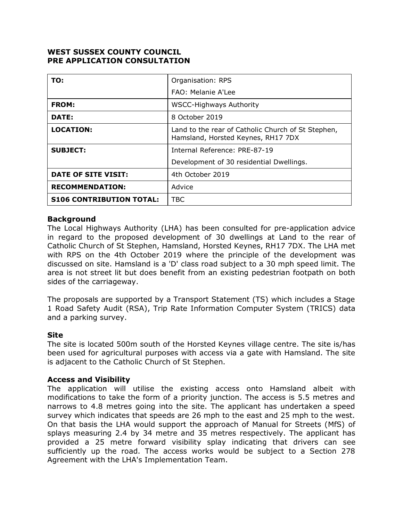# **WEST SUSSEX COUNTY COUNCIL PRE APPLICATION CONSULTATION**

| TO:                             | Organisation: RPS                                                                        |
|---------------------------------|------------------------------------------------------------------------------------------|
|                                 | FAO: Melanie A'Lee                                                                       |
| <b>FROM:</b>                    | <b>WSCC-Highways Authority</b>                                                           |
| DATE:                           | 8 October 2019                                                                           |
| <b>LOCATION:</b>                | Land to the rear of Catholic Church of St Stephen,<br>Hamsland, Horsted Keynes, RH17 7DX |
| <b>SUBJECT:</b>                 | Internal Reference: PRE-87-19                                                            |
|                                 | Development of 30 residential Dwellings.                                                 |
| DATE OF SITE VISIT:             | 4th October 2019                                                                         |
| <b>RECOMMENDATION:</b>          | Advice                                                                                   |
| <b>S106 CONTRIBUTION TOTAL:</b> | TBC                                                                                      |

### **Background**

The Local Highways Authority (LHA) has been consulted for pre-application advice in regard to the proposed development of 30 dwellings at Land to the rear of Catholic Church of St Stephen, Hamsland, Horsted Keynes, RH17 7DX. The LHA met with RPS on the 4th October 2019 where the principle of the development was discussed on site. Hamsland is a 'D' class road subject to a 30 mph speed limit. The area is not street lit but does benefit from an existing pedestrian footpath on both sides of the carriageway.

The proposals are supported by a Transport Statement (TS) which includes a Stage 1 Road Safety Audit (RSA), Trip Rate Information Computer System (TRICS) data and a parking survey.

### **Site**

The site is located 500m south of the Horsted Keynes village centre. The site is/has been used for agricultural purposes with access via a gate with Hamsland. The site is adjacent to the Catholic Church of St Stephen.

### **Access and Visibility**

The application will utilise the existing access onto Hamsland albeit with modifications to take the form of a priority junction. The access is 5.5 metres and narrows to 4.8 metres going into the site. The applicant has undertaken a speed survey which indicates that speeds are 26 mph to the east and 25 mph to the west. On that basis the LHA would support the approach of Manual for Streets (MfS) of splays measuring 2.4 by 34 metre and 35 metres respectively. The applicant has provided a 25 metre forward visibility splay indicating that drivers can see sufficiently up the road. The access works would be subject to a Section 278 Agreement with the LHA's Implementation Team.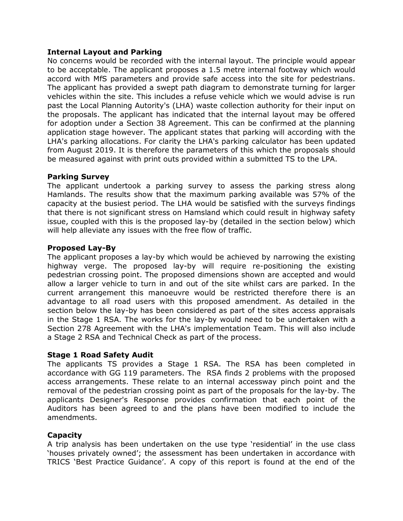### **Internal Layout and Parking**

No concerns would be recorded with the internal layout. The principle would appear to be acceptable. The applicant proposes a 1.5 metre internal footway which would accord with MfS parameters and provide safe access into the site for pedestrians. The applicant has provided a swept path diagram to demonstrate turning for larger vehicles within the site. This includes a refuse vehicle which we would advise is run past the Local Planning Autority's (LHA) waste collection authority for their input on the proposals. The applicant has indicated that the internal layout may be offered for adoption under a Section 38 Agreement. This can be confirmed at the planning application stage however. The applicant states that parking will according with the LHA's parking allocations. For clarity the LHA's parking calculator has been updated from August 2019. It is therefore the parameters of this which the proposals should be measured against with print outs provided within a submitted TS to the LPA.

### **Parking Survey**

The applicant undertook a parking survey to assess the parking stress along Hamlands. The results show that the maximum parking available was 57% of the capacity at the busiest period. The LHA would be satisfied with the surveys findings that there is not significant stress on Hamsland which could result in highway safety issue, coupled with this is the proposed lay-by (detailed in the section below) which will help alleviate any issues with the free flow of traffic.

### **Proposed Lay-By**

The applicant proposes a lay-by which would be achieved by narrowing the existing highway verge. The proposed lay-by will require re-positioning the existing pedestrian crossing point. The proposed dimensions shown are accepted and would allow a larger vehicle to turn in and out of the site whilst cars are parked. In the current arrangement this manoeuvre would be restricted therefore there is an advantage to all road users with this proposed amendment. As detailed in the section below the lay-by has been considered as part of the sites access appraisals in the Stage 1 RSA. The works for the lay-by would need to be undertaken with a Section 278 Agreement with the LHA's implementation Team. This will also include a Stage 2 RSA and Technical Check as part of the process.

# **Stage 1 Road Safety Audit**

The applicants TS provides a Stage 1 RSA. The RSA has been completed in accordance with GG 119 parameters. The RSA finds 2 problems with the proposed access arrangements. These relate to an internal accessway pinch point and the removal of the pedestrian crossing point as part of the proposals for the lay-by. The applicants Designer's Response provides confirmation that each point of the Auditors has been agreed to and the plans have been modified to include the amendments.

### **Capacity**

A trip analysis has been undertaken on the use type 'residential' in the use class 'houses privately owned'; the assessment has been undertaken in accordance with TRICS 'Best Practice Guidance'. A copy of this report is found at the end of the